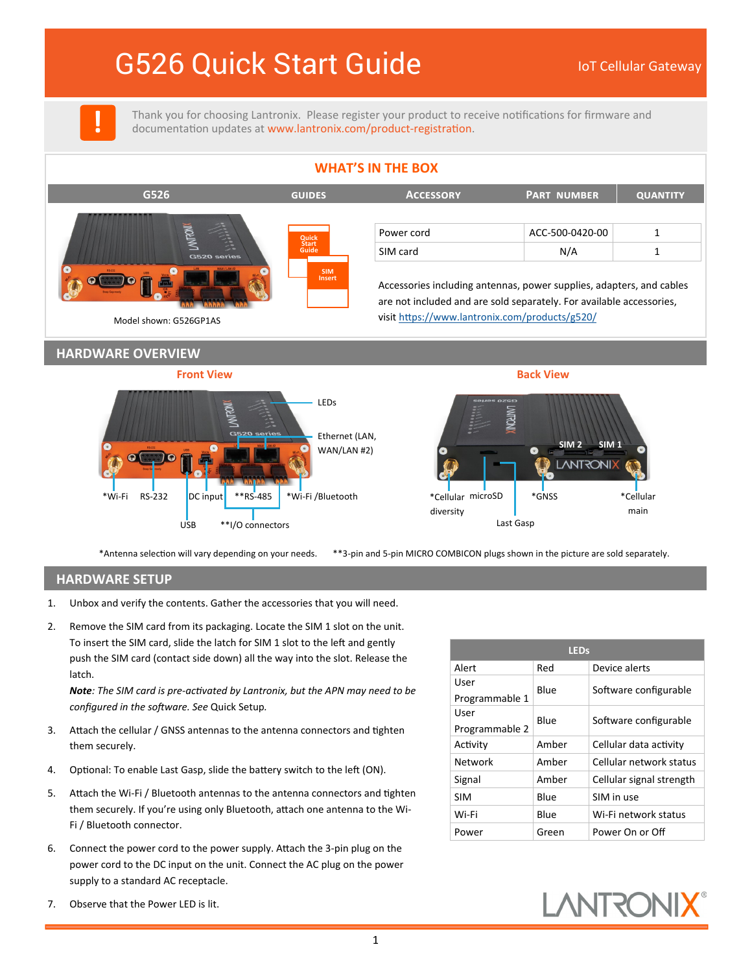# G526 Quick Start Guide **In The Collular Gateway**

**!**

Thank you for choosing Lantronix. Please register your product to receive notifications for firmware and documentation updates at [www.lantronix.com/product](https://www.lantronix.com/product-registration)-registration.



\*Antenna selection will vary depending on your needs. \*\*3-pin and 5-pin MICRO COMBICON plugs shown in the picture are sold separately.

## **HARDWARE SETUP**

- 1. Unbox and verify the contents. Gather the accessories that you will need.
- 2. Remove the SIM card from its packaging. Locate the SIM 1 slot on the unit. To insert the SIM card, slide the latch for SIM 1 slot to the left and gently push the SIM card (contact side down) all the way into the slot. Release the latch.

*Note: The SIM card is pre-activated by Lantronix, but the APN may need to be configured in the software. See* Quick Setup*.*

- 3. Attach the cellular / GNSS antennas to the antenna connectors and tighten them securely.
- 4. Optional: To enable Last Gasp, slide the battery switch to the left (ON).
- 5. Attach the Wi-Fi / Bluetooth antennas to the antenna connectors and tighten them securely. If you're using only Bluetooth, attach one antenna to the Wi-Fi / Bluetooth connector.
- 6. Connect the power cord to the power supply. Attach the 3-pin plug on the power cord to the DC input on the unit. Connect the AC plug on the power supply to a standard AC receptacle.

| <b>LEDs</b>    |       |                          |  |  |
|----------------|-------|--------------------------|--|--|
| Alert          | Red   | Device alerts            |  |  |
| User           | Blue  |                          |  |  |
| Programmable 1 |       | Software configurable    |  |  |
| User           | Blue  |                          |  |  |
| Programmable 2 |       | Software configurable    |  |  |
| Activity       | Amber | Cellular data activity   |  |  |
| Network        | Amber | Cellular network status  |  |  |
| Signal         | Amber | Cellular signal strength |  |  |
| SIM            | Blue  | SIM in use               |  |  |
| Wi-Fi          | Blue  | Wi-Fi network status     |  |  |
| Power          | Green | Power On or Off          |  |  |



7. Observe that the Power LED is lit.